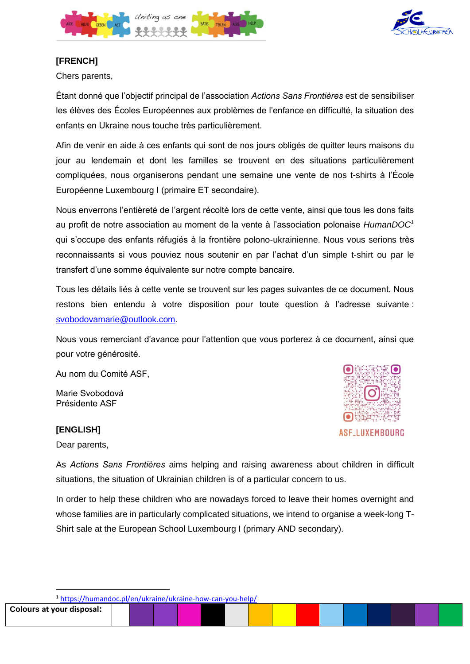



# **[FRENCH]**

Chers parents,

Étant donné que l'objectif principal de l'association *Actions Sans Frontières* est de sensibiliser les élèves des Écoles Européennes aux problèmes de l'enfance en difficulté, la situation des enfants en Ukraine nous touche très particulièrement.

Afin de venir en aide à ces enfants qui sont de nos jours obligés de quitter leurs maisons du jour au lendemain et dont les familles se trouvent en des situations particulièrement compliquées, nous organiserons pendant une semaine une vente de nos t-shirts à l'École Européenne Luxembourg I (primaire ET secondaire).

Nous enverrons l'entièreté de l'argent récolté lors de cette vente, ainsi que tous les dons faits au profit de notre association au moment de la vente à l'association polonaise *HumanDOC<sup>1</sup>* qui s'occupe des enfants réfugiés à la frontière polono-ukrainienne. Nous vous serions très reconnaissants si vous pouviez nous soutenir en par l'achat d'un simple t-shirt ou par le transfert d'une somme équivalente sur notre compte bancaire.

Tous les détails liés à cette vente se trouvent sur les pages suivantes de ce document. Nous restons bien entendu à votre disposition pour toute question à l'adresse suivante : [svobodovamarie@outlook.com.](mailto:svobodovamarie@outlook.com)

Nous vous remerciant d'avance pour l'attention que vous porterez à ce document, ainsi que pour votre générosité.

Au nom du Comité ASF,

Marie Svobodová Présidente ASF

# **[ENGLISH]**

Dear parents,



**ASF\_LUXEMBOURG** 

As *Actions Sans Frontières* aims helping and raising awareness about children in difficult situations, the situation of Ukrainian children is of a particular concern to us.

In order to help these children who are nowadays forced to leave their homes overnight and whose families are in particularly complicated situations, we intend to organise a week-long T-Shirt sale at the European School Luxembourg I (primary AND secondary).

<sup>1</sup> <https://humandoc.pl/en/ukraine/ukraine-how-can-you-help/>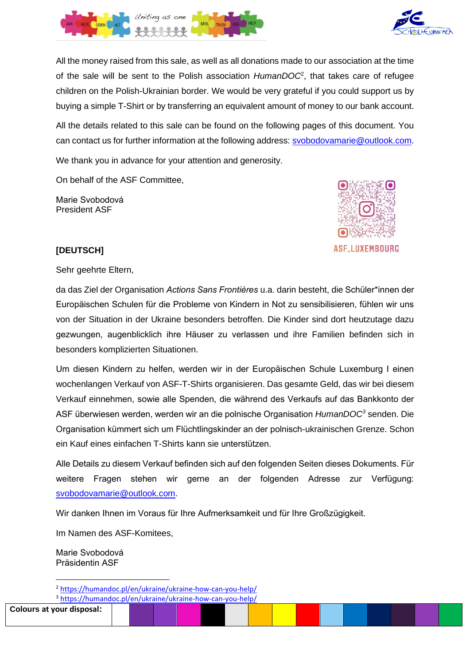

All the money raised from this sale, as well as all donations made to our association at the time of the sale will be sent to the Polish association *HumanDOC*<sup>2</sup> , that takes care of refugee children on the Polish-Ukrainian border. We would be very grateful if you could support us by buying a simple T-Shirt or by transferring an equivalent amount of money to our bank account.

All the details related to this sale can be found on the following pages of this document. You can contact us for further information at the following address: [svobodovamarie@outlook.com.](mailto:svobodovamarie@outlook.com)

We thank you in advance for your attention and generosity.

On behalf of the ASF Committee,

Marie Svobodová President ASF



# **[DEUTSCH]**

Sehr geehrte Eltern,

da das Ziel der Organisation *Actions Sans Frontières* u.a. darin besteht, die Schüler\*innen der Europäischen Schulen für die Probleme von Kindern in Not zu sensibilisieren, fühlen wir uns von der Situation in der Ukraine besonders betroffen. Die Kinder sind dort heutzutage dazu gezwungen, augenblicklich ihre Häuser zu verlassen und ihre Familien befinden sich in besonders komplizierten Situationen.

Um diesen Kindern zu helfen, werden wir in der Europäischen Schule Luxemburg I einen wochenlangen Verkauf von ASF-T-Shirts organisieren. Das gesamte Geld, das wir bei diesem Verkauf einnehmen, sowie alle Spenden, die während des Verkaufs auf das Bankkonto der ASF überwiesen werden, werden wir an die polnische Organisation *HumanDOC<sup>3</sup>* senden. Die Organisation kümmert sich um Flüchtlingskinder an der polnisch-ukrainischen Grenze. Schon ein Kauf eines einfachen T-Shirts kann sie unterstützen.

Alle Details zu diesem Verkauf befinden sich auf den folgenden Seiten dieses Dokuments. Für weitere Fragen stehen wir gerne an der folgenden Adresse zur Verfügung: [svobodovamarie@outlook.com.](mailto:svobodovamarie@outlook.com)

Wir danken Ihnen im Voraus für Ihre Aufmerksamkeit und für Ihre Großzügigkeit.

Im Namen des ASF-Komitees,

Marie Svobodová Präsidentin ASF

**Colours at your disposal:**



<sup>2</sup> <https://humandoc.pl/en/ukraine/ukraine-how-can-you-help/>

<sup>3</sup> <https://humandoc.pl/en/ukraine/ukraine-how-can-you-help/>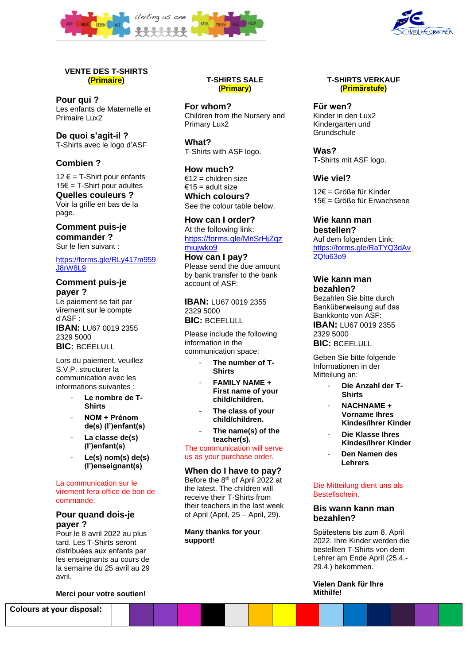



### **VENTE DES T-SHIRTS (Primaire)**

**Pour qui ?**  Les enfants de Maternelle et Primaire Lux2

**De quoi s'agit-il ?** T-Shirts avec le logo d'ASF

## **Combien ?**

12  $€ = T-S$ hirt pour enfants 15€ = T-Shirt pour adultes **Quelles couleurs ?** Voir la grille en bas de la page.

**Comment puis-je commander ?** Sur le lien suivant :

[https://forms.gle/RLy417m959](https://forms.gle/RLy417m959J8rW8L9) [J8rW8L9](https://forms.gle/RLy417m959J8rW8L9)

# **Comment puis-je payer ?**

Le paiement se fait par virement sur le compte d'ASF : **IBAN:** LU67 0019 2355

2329 5000 **BIC: BCEELULL** 

Lors du paiement, veuillez S.V.P. structurer la communication avec les informations suivantes :

- Le nombre de T-**Shirts**
- **NOM + Prénom de(s) (l')enfant(s)**
- **La classe de(s) (l')enfant(s)**
- **Le(s) nom(s) de(s) (l')enseignant(s)**

La communication sur le virement fera office de bon de commande.

## **Pour quand dois-je payer ?**

Pour le 8 avril 2022 au plus tard. Les T-Shirts seront distribuées aux enfants par les enseignants au cours de la semaine du 25 avril au 29 avril.

**Merci pour votre soutien!**

**Colours at your disposal:**

### **T-SHIRTS SALE (Primary)**

**For whom?**  Children from the Nursery and Primary Lux2

**What?**  T-Shirts with ASF logo.

**How much?**  €12 = children size €15 = adult size **Which colours?** See the colour table below.

**How can I order?** At the following link: [https://forms.gle/MnSrHjZqz](https://forms.gle/MnSrHjZqzmiujwko9) [miujwko9](https://forms.gle/MnSrHjZqzmiujwko9)

**How can I pay?** Please send the due amount by bank transfer to the bank account of ASF:

**IBAN:** LU67 0019 2355 2329 5000 **BIC:** BCEELULL

Please include the following information in the communication space:

- The number of T-**Shirts**
- **FAMILY NAME + First name of your child/children.**
- **The class of your child/children.**
- **The name(s) of the teacher(s).**

The communication will serve us as your purchase order.

#### **When do I have to pay?**

Before the 8th of April 2022 at the latest. The children will receive their T-Shirts from their teachers in the last week of April (April, 25 – April, 29).

**Many thanks for your support!**

#### **T-SHIRTS VERKAUF (Primärstufe)**

**Für wen?**  Kinder in den Lux2 Kindergarten und **Grundschule** 

**Was?** T-Shirts mit ASF logo.

# **Wie viel?**

12€ = Größe für Kinder 15€ = Größe für Erwachsene

**Wie kann man bestellen?**  Auf dem folgenden Link: [https://forms.gle/RaTYQ3dAv](https://forms.gle/RaTYQ3dAv2Qfu63o9) [2Qfu63o9](https://forms.gle/RaTYQ3dAv2Qfu63o9)

#### **Wie kann man bezahlen?**

Bezahlen Sie bitte durch Banküberweisung auf das Bankkonto von ASF: **IBAN:** LU67 0019 2355 2329 5000

**BIC: BCEELULL** 

Geben Sie bitte folgende Informationen in der Mitteilung an:

- **Die Anzahl der T-Shirts**
- **NACHNAME + Vorname Ihres Kindes/Ihrer Kinder**
- **Die Klasse Ihres Kindes/Ihrer Kinder**
- **Den Namen des Lehrers**

#### Die Mitteilung dient uns als Bestellschein.

### **Bis wann kann man bezahlen?**

Spätestens bis zum 8. April 2022. Ihre Kinder werden die bestellten T-Shirts von dem Lehrer am Ende April (25.4.- 29.4.) bekommen.

#### **Vielen Dank für Ihre Mithilfe!**